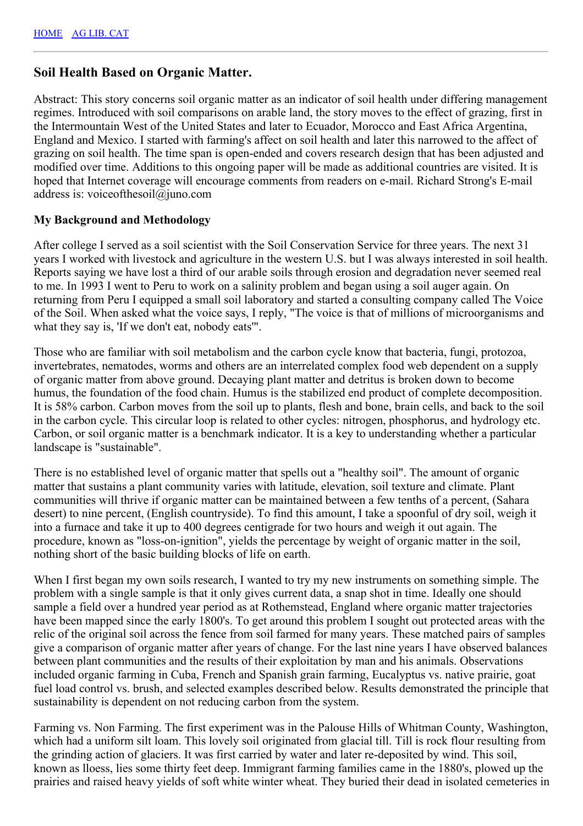#### **Soil Health Based on Organic Matter.**

Abstract: This story concerns soil organic matter as an indicator of soil health under differing management regimes. Introduced with soil comparisons on arable land, the story moves to the effect of grazing, first in the Intermountain West of the United States and later to Ecuador, Morocco and East Africa Argentina, England and Mexico. I started with farming's affect on soil health and later this narrowed to the affect of grazing on soil health. The time span is open-ended and covers research design that has been adjusted and modified over time. Additions to this ongoing paper will be made as additional countries are visited. It is hoped that Internet coverage will encourage comments from readers on e-mail. Richard Strong's E-mail address is: voiceofthesoil@juno.com

#### **My Background and Methodology**

After college I served as a soil scientist with the Soil Conservation Service for three years. The next 31 years I worked with livestock and agriculture in the western U.S. but I was always interested in soil health. Reports saying we have lost a third of our arable soils through erosion and degradation never seemed real to me. In 1993 I went to Peru to work on a salinity problem and began using a soil auger again. On returning from Peru I equipped a small soil laboratory and started a consulting company called The Voice of the Soil. When asked what the voice says, I reply, "The voice is that of millions of microorganisms and what they say is, 'If we don't eat, nobody eats'".

Those who are familiar with soil metabolism and the carbon cycle know that bacteria, fungi, protozoa, invertebrates, nematodes, worms and others are an interrelated complex food web dependent on a supply of organic matter from above ground. Decaying plant matter and detritus is broken down to become humus, the foundation of the food chain. Humus is the stabilized end product of complete decomposition. It is 58% carbon. Carbon moves from the soil up to plants, flesh and bone, brain cells, and back to the soil in the carbon cycle. This circular loop is related to other cycles: nitrogen, phosphorus, and hydrology etc. Carbon, or soil organic matter is a benchmark indicator. It is a key to understanding whether a particular landscape is "sustainable".

There is no established level of organic matter that spells out a "healthy soil". The amount of organic matter that sustains a plant community varies with latitude, elevation, soil texture and climate. Plant communities will thrive if organic matter can be maintained between a few tenths of a percent, (Sahara desert) to nine percent, (English countryside). To find this amount, I take a spoonful of dry soil, weigh it into a furnace and take it up to 400 degrees centigrade for two hours and weigh it out again. The procedure, known as "loss-on-ignition", yields the percentage by weight of organic matter in the soil, nothing short of the basic building blocks of life on earth.

When I first began my own soils research, I wanted to try my new instruments on something simple. The problem with a single sample is that it only gives current data, a snap shot in time. Ideally one should sample a field over a hundred year period as at Rothemstead, England where organic matter trajectories have been mapped since the early 1800's. To get around this problem I sought out protected areas with the relic of the original soil across the fence from soil farmed for many years. These matched pairs of samples give a comparison of organic matter after years of change. For the last nine years I have observed balances between plant communities and the results of their exploitation by man and his animals. Observations included organic farming in Cuba, French and Spanish grain farming, Eucalyptus vs. native prairie, goat fuel load control vs. brush, and selected examples described below. Results demonstrated the principle that sustainability is dependent on not reducing carbon from the system.

Farming vs. Non Farming. The first experiment was in the Palouse Hills of Whitman County, Washington, which had a uniform silt loam. This lovely soil originated from glacial till. Till is rock flour resulting from the grinding action of glaciers. It was first carried by water and later re-deposited by wind. This soil, known as lloess, lies some thirty feet deep. Immigrant farming families came in the 1880's, plowed up the prairies and raised heavy yields of soft white winter wheat. They buried their dead in isolated cemeteries in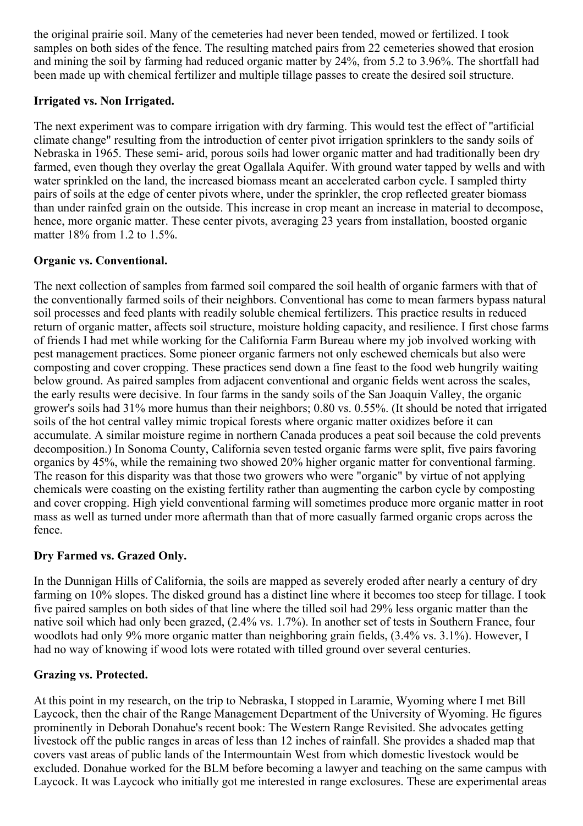the original prairie soil. Many of the cemeteries had never been tended, mowed or fertilized. I took samples on both sides of the fence. The resulting matched pairs from 22 cemeteries showed that erosion and mining the soil by farming had reduced organic matter by 24%, from 5.2 to 3.96%. The shortfall had been made up with chemical fertilizer and multiple tillage passes to create the desired soil structure.

#### **Irrigated vs. Non Irrigated.**

The next experiment was to compare irrigation with dry farming. This would test the effect of "artificial climate change" resulting from the introduction of center pivot irrigation sprinklers to the sandy soils of Nebraska in 1965. These semi- arid, porous soils had lower organic matter and had traditionally been dry farmed, even though they overlay the great Ogallala Aquifer. With ground water tapped by wells and with water sprinkled on the land, the increased biomass meant an accelerated carbon cycle. I sampled thirty pairs of soils at the edge of center pivots where, under the sprinkler, the crop reflected greater biomass than under rainfed grain on the outside. This increase in crop meant an increase in material to decompose, hence, more organic matter. These center pivots, averaging 23 years from installation, boosted organic matter 18% from 1.2 to 1.5%.

### **Organic vs. Conventional.**

The next collection of samples from farmed soil compared the soil health of organic farmers with that of the conventionally farmed soils of their neighbors. Conventional has come to mean farmers bypass natural soil processes and feed plants with readily soluble chemical fertilizers. This practice results in reduced return of organic matter, affects soil structure, moisture holding capacity, and resilience. I first chose farms of friends I had met while working for the California Farm Bureau where my job involved working with pest management practices. Some pioneer organic farmers not only eschewed chemicals but also were composting and cover cropping. These practices send down a fine feast to the food web hungrily waiting below ground. As paired samples from adjacent conventional and organic fields went across the scales, the early results were decisive. In four farms in the sandy soils of the San Joaquin Valley, the organic grower's soils had 31% more humus than their neighbors; 0.80 vs. 0.55%. (It should be noted that irrigated soils of the hot central valley mimic tropical forests where organic matter oxidizes before it can accumulate. A similar moisture regime in northern Canada produces a peat soil because the cold prevents decomposition.) In Sonoma County, California seven tested organic farms were split, five pairs favoring organics by 45%, while the remaining two showed 20% higher organic matter for conventional farming. The reason for this disparity was that those two growers who were "organic" by virtue of not applying chemicals were coasting on the existing fertility rather than augmenting the carbon cycle by composting and cover cropping. High yield conventional farming will sometimes produce more organic matter in root mass as well as turned under more aftermath than that of more casually farmed organic crops across the fence.

### **Dry Farmed vs. Grazed Only.**

In the Dunnigan Hills of California, the soils are mapped as severely eroded after nearly a century of dry farming on 10% slopes. The disked ground has a distinct line where it becomes too steep for tillage. I took five paired samples on both sides of that line where the tilled soil had 29% less organic matter than the native soil which had only been grazed, (2.4% vs. 1.7%). In another set of tests in Southern France, four woodlots had only 9% more organic matter than neighboring grain fields, (3.4% vs. 3.1%). However, I had no way of knowing if wood lots were rotated with tilled ground over several centuries.

### **Grazing vs. Protected.**

At this point in my research, on the trip to Nebraska, I stopped in Laramie, Wyoming where I met Bill Laycock, then the chair of the Range Management Department of the University of Wyoming. He figures prominently in Deborah Donahue's recent book: The Western Range Revisited. She advocates getting livestock off the public ranges in areas of less than 12 inches of rainfall. She provides a shaded map that covers vast areas of public lands of the Intermountain West from which domestic livestock would be excluded. Donahue worked for the BLM before becoming a lawyer and teaching on the same campus with Laycock. It was Laycock who initially got me interested in range exclosures. These are experimental areas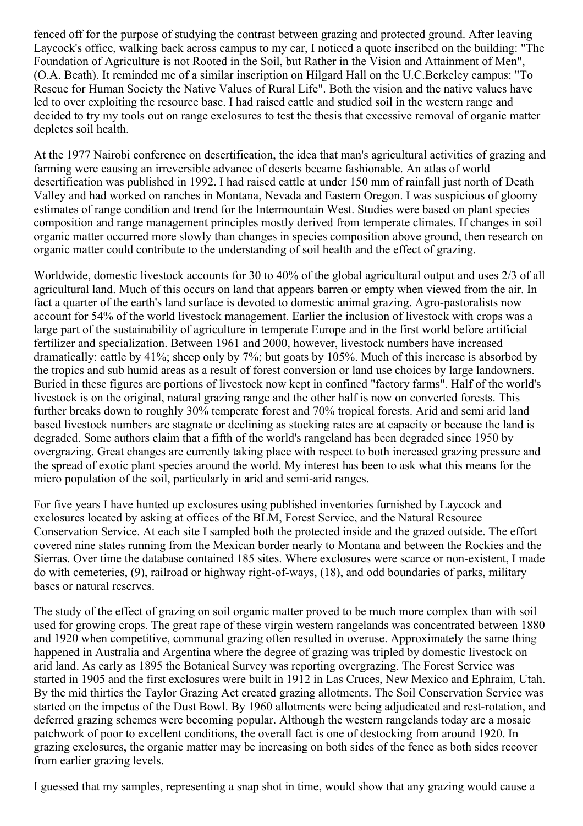fenced off for the purpose of studying the contrast between grazing and protected ground. After leaving Laycock's office, walking back across campus to my car, I noticed a quote inscribed on the building: "The Foundation of Agriculture is not Rooted in the Soil, but Rather in the Vision and Attainment of Men", (O.A. Beath). It reminded me of a similar inscription on Hilgard Hall on the U.C.Berkeley campus: "To Rescue for Human Society the Native Values of Rural Life". Both the vision and the native values have led to over exploiting the resource base. I had raised cattle and studied soil in the western range and decided to try my tools out on range exclosures to test the thesis that excessive removal of organic matter depletes soil health.

At the 1977 Nairobi conference on desertification, the idea that man's agricultural activities of grazing and farming were causing an irreversible advance of deserts became fashionable. An atlas of world desertification was published in 1992. I had raised cattle at under 150 mm of rainfall just north of Death Valley and had worked on ranches in Montana, Nevada and Eastern Oregon. I was suspicious of gloomy estimates of range condition and trend for the Intermountain West. Studies were based on plant species composition and range management principles mostly derived from temperate climates. If changes in soil organic matter occurred more slowly than changes in species composition above ground, then research on organic matter could contribute to the understanding of soil health and the effect of grazing.

Worldwide, domestic livestock accounts for 30 to 40% of the global agricultural output and uses 2/3 of all agricultural land. Much of this occurs on land that appears barren or empty when viewed from the air. In fact a quarter of the earth's land surface is devoted to domestic animal grazing. Agro-pastoralists now account for 54% of the world livestock management. Earlier the inclusion of livestock with crops was a large part of the sustainability of agriculture in temperate Europe and in the first world before artificial fertilizer and specialization. Between 1961 and 2000, however, livestock numbers have increased dramatically: cattle by 41%; sheep only by 7%; but goats by 105%. Much of this increase is absorbed by the tropics and sub humid areas as a result of forest conversion or land use choices by large landowners. Buried in these figures are portions of livestock now kept in confined "factory farms". Half of the world's livestock is on the original, natural grazing range and the other half is now on converted forests. This further breaks down to roughly 30% temperate forest and 70% tropical forests. Arid and semi arid land based livestock numbers are stagnate or declining as stocking rates are at capacity or because the land is degraded. Some authors claim that a fifth of the world's rangeland has been degraded since 1950 by overgrazing. Great changes are currently taking place with respect to both increased grazing pressure and the spread of exotic plant species around the world. My interest has been to ask what this means for the micro population of the soil, particularly in arid and semi-arid ranges.

For five years I have hunted up exclosures using published inventories furnished by Laycock and exclosures located by asking at offices of the BLM, Forest Service, and the Natural Resource Conservation Service. At each site I sampled both the protected inside and the grazed outside. The effort covered nine states running from the Mexican border nearly to Montana and between the Rockies and the Sierras. Over time the database contained 185 sites. Where exclosures were scarce or non-existent, I made do with cemeteries, (9), railroad or highway right-of-ways, (18), and odd boundaries of parks, military bases or natural reserves.

The study of the effect of grazing on soil organic matter proved to be much more complex than with soil used for growing crops. The great rape of these virgin western rangelands was concentrated between 1880 and 1920 when competitive, communal grazing often resulted in overuse. Approximately the same thing happened in Australia and Argentina where the degree of grazing was tripled by domestic livestock on arid land. As early as 1895 the Botanical Survey was reporting overgrazing. The Forest Service was started in 1905 and the first exclosures were built in 1912 in Las Cruces, New Mexico and Ephraim, Utah. By the mid thirties the Taylor Grazing Act created grazing allotments. The Soil Conservation Service was started on the impetus of the Dust Bowl. By 1960 allotments were being adjudicated and rest-rotation, and deferred grazing schemes were becoming popular. Although the western rangelands today are a mosaic patchwork of poor to excellent conditions, the overall fact is one of destocking from around 1920. In grazing exclosures, the organic matter may be increasing on both sides of the fence as both sides recover from earlier grazing levels.

I guessed that my samples, representing a snap shot in time, would show that any grazing would cause a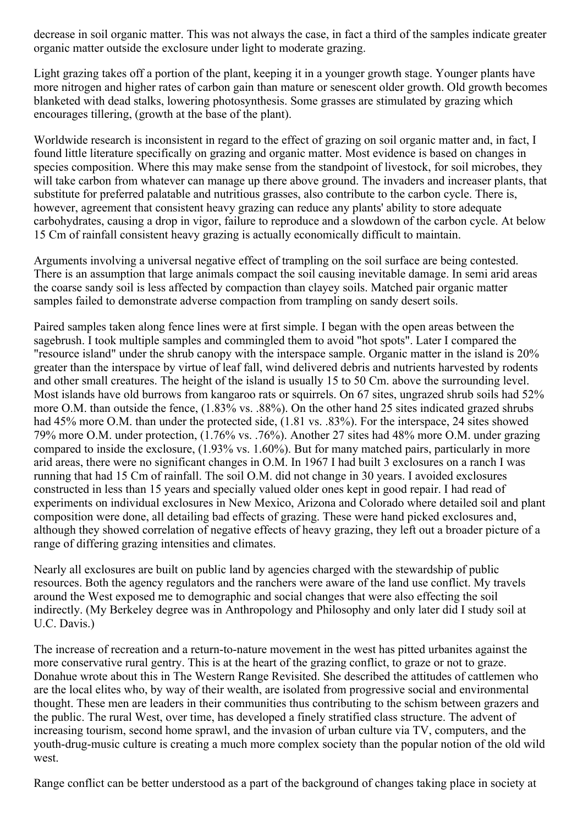decrease in soil organic matter. This was not always the case, in fact a third of the samples indicate greater organic matter outside the exclosure under light to moderate grazing.

Light grazing takes off a portion of the plant, keeping it in a younger growth stage. Younger plants have more nitrogen and higher rates of carbon gain than mature or senescent older growth. Old growth becomes blanketed with dead stalks, lowering photosynthesis. Some grasses are stimulated by grazing which encourages tillering, (growth at the base of the plant).

Worldwide research is inconsistent in regard to the effect of grazing on soil organic matter and, in fact, I found little literature specifically on grazing and organic matter. Most evidence is based on changes in species composition. Where this may make sense from the standpoint of livestock, for soil microbes, they will take carbon from whatever can manage up there above ground. The invaders and increaser plants, that substitute for preferred palatable and nutritious grasses, also contribute to the carbon cycle. There is, however, agreement that consistent heavy grazing can reduce any plants' ability to store adequate carbohydrates, causing a drop in vigor, failure to reproduce and a slowdown of the carbon cycle. At below 15 Cm of rainfall consistent heavy grazing is actually economically difficult to maintain.

Arguments involving a universal negative effect of trampling on the soil surface are being contested. There is an assumption that large animals compact the soil causing inevitable damage. In semi arid areas the coarse sandy soil is less affected by compaction than clayey soils. Matched pair organic matter samples failed to demonstrate adverse compaction from trampling on sandy desert soils.

Paired samples taken along fence lines were at first simple. I began with the open areas between the sagebrush. I took multiple samples and commingled them to avoid "hot spots". Later I compared the "resource island" under the shrub canopy with the interspace sample. Organic matter in the island is 20% greater than the interspace by virtue of leaf fall, wind delivered debris and nutrients harvested by rodents and other small creatures. The height of the island is usually 15 to 50 Cm. above the surrounding level. Most islands have old burrows from kangaroo rats or squirrels. On 67 sites, ungrazed shrub soils had 52% more O.M. than outside the fence, (1.83% vs. .88%). On the other hand 25 sites indicated grazed shrubs had 45% more O.M. than under the protected side, (1.81 vs. .83%). For the interspace, 24 sites showed 79% more O.M. under protection, (1.76% vs. .76%). Another 27 sites had 48% more O.M. under grazing compared to inside the exclosure, (1.93% vs. 1.60%). But for many matched pairs, particularly in more arid areas, there were no significant changes in O.M. In 1967 I had built 3 exclosures on a ranch I was running that had 15 Cm of rainfall. The soil O.M. did not change in 30 years. I avoided exclosures constructed in less than 15 years and specially valued older ones kept in good repair. I had read of experiments on individual exclosures in New Mexico, Arizona and Colorado where detailed soil and plant composition were done, all detailing bad effects of grazing. These were hand picked exclosures and, although they showed correlation of negative effects of heavy grazing, they left out a broader picture of a range of differing grazing intensities and climates.

Nearly all exclosures are built on public land by agencies charged with the stewardship of public resources. Both the agency regulators and the ranchers were aware of the land use conflict. My travels around the West exposed me to demographic and social changes that were also effecting the soil indirectly. (My Berkeley degree was in Anthropology and Philosophy and only later did I study soil at U.C. Davis.)

The increase of recreation and a return-to-nature movement in the west has pitted urbanites against the more conservative rural gentry. This is at the heart of the grazing conflict, to graze or not to graze. Donahue wrote about this in The Western Range Revisited. She described the attitudes of cattlemen who are the local elites who, by way of their wealth, are isolated from progressive social and environmental thought. These men are leaders in their communities thus contributing to the schism between grazers and the public. The rural West, over time, has developed a finely stratified class structure. The advent of increasing tourism, second home sprawl, and the invasion of urban culture via TV, computers, and the youth-drug-music culture is creating a much more complex society than the popular notion of the old wild west.

Range conflict can be better understood as a part of the background of changes taking place in society at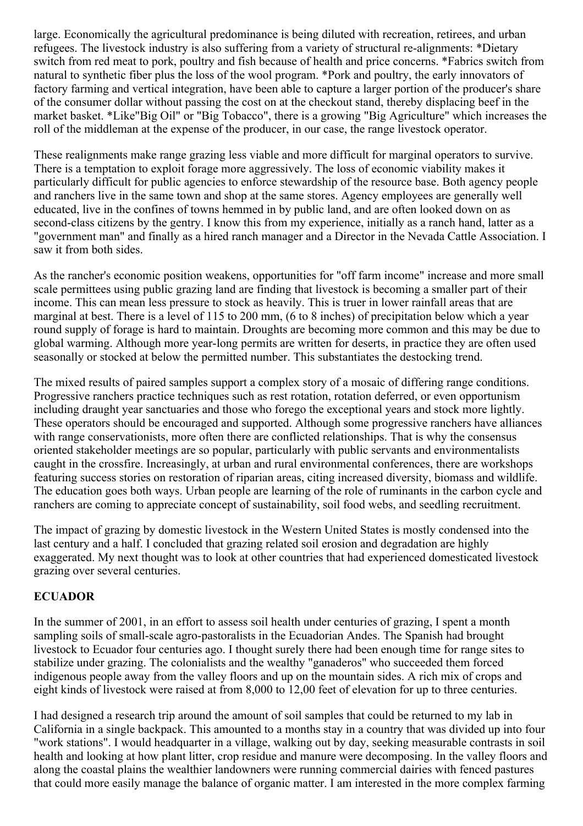large. Economically the agricultural predominance is being diluted with recreation, retirees, and urban refugees. The livestock industry is also suffering from a variety of structural re-alignments: \*Dietary switch from red meat to pork, poultry and fish because of health and price concerns. \*Fabrics switch from natural to synthetic fiber plus the loss of the wool program. \*Pork and poultry, the early innovators of factory farming and vertical integration, have been able to capture a larger portion of the producer's share of the consumer dollar without passing the cost on at the checkout stand, thereby displacing beef in the market basket. \*Like"Big Oil" or "Big Tobacco", there is a growing "Big Agriculture" which increases the roll of the middleman at the expense of the producer, in our case, the range livestock operator.

These realignments make range grazing less viable and more difficult for marginal operators to survive. There is a temptation to exploit forage more aggressively. The loss of economic viability makes it particularly difficult for public agencies to enforce stewardship of the resource base. Both agency people and ranchers live in the same town and shop at the same stores. Agency employees are generally well educated, live in the confines of towns hemmed in by public land, and are often looked down on as second-class citizens by the gentry. I know this from my experience, initially as a ranch hand, latter as a "government man" and finally as a hired ranch manager and a Director in the Nevada Cattle Association. I saw it from both sides.

As the rancher's economic position weakens, opportunities for "off farm income" increase and more small scale permittees using public grazing land are finding that livestock is becoming a smaller part of their income. This can mean less pressure to stock as heavily. This is truer in lower rainfall areas that are marginal at best. There is a level of 115 to 200 mm, (6 to 8 inches) of precipitation below which a year round supply of forage is hard to maintain. Droughts are becoming more common and this may be due to global warming. Although more year-long permits are written for deserts, in practice they are often used seasonally or stocked at below the permitted number. This substantiates the destocking trend.

The mixed results of paired samples support a complex story of a mosaic of differing range conditions. Progressive ranchers practice techniques such as rest rotation, rotation deferred, or even opportunism including draught year sanctuaries and those who forego the exceptional years and stock more lightly. These operators should be encouraged and supported. Although some progressive ranchers have alliances with range conservationists, more often there are conflicted relationships. That is why the consensus oriented stakeholder meetings are so popular, particularly with public servants and environmentalists caught in the crossfire. Increasingly, at urban and rural environmental conferences, there are workshops featuring success stories on restoration of riparian areas, citing increased diversity, biomass and wildlife. The education goes both ways. Urban people are learning of the role of ruminants in the carbon cycle and ranchers are coming to appreciate concept of sustainability, soil food webs, and seedling recruitment.

The impact of grazing by domestic livestock in the Western United States is mostly condensed into the last century and a half. I concluded that grazing related soil erosion and degradation are highly exaggerated. My next thought was to look at other countries that had experienced domesticated livestock grazing over several centuries.

### **ECUADOR**

In the summer of 2001, in an effort to assess soil health under centuries of grazing, I spent a month sampling soils of small-scale agro-pastoralists in the Ecuadorian Andes. The Spanish had brought livestock to Ecuador four centuries ago. I thought surely there had been enough time for range sites to stabilize under grazing. The colonialists and the wealthy "ganaderos" who succeeded them forced indigenous people away from the valley floors and up on the mountain sides. A rich mix of crops and eight kinds of livestock were raised at from 8,000 to 12,00 feet of elevation for up to three centuries.

I had designed a research trip around the amount of soil samples that could be returned to my lab in California in a single backpack. This amounted to a months stay in a country that was divided up into four "work stations". I would headquarter in a village, walking out by day, seeking measurable contrasts in soil health and looking at how plant litter, crop residue and manure were decomposing. In the valley floors and along the coastal plains the wealthier landowners were running commercial dairies with fenced pastures that could more easily manage the balance of organic matter. I am interested in the more complex farming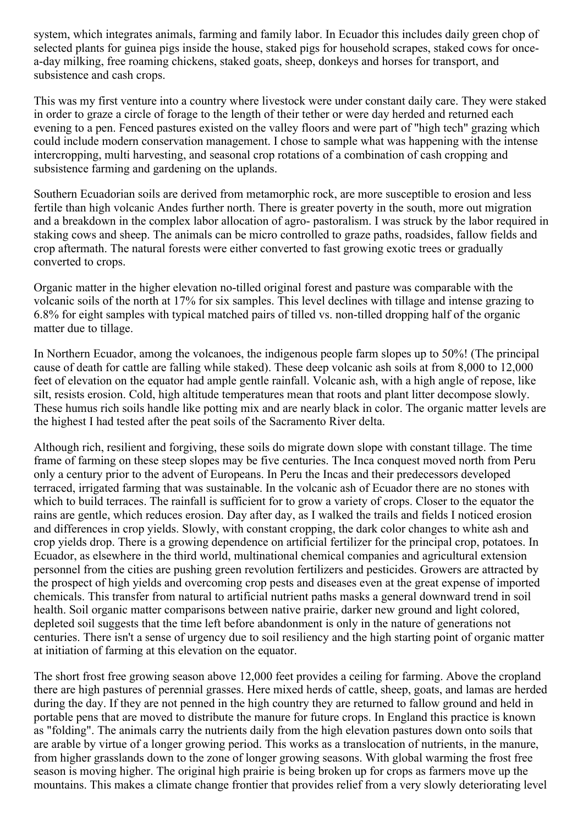system, which integrates animals, farming and family labor. In Ecuador this includes daily green chop of selected plants for guinea pigs inside the house, staked pigs for household scrapes, staked cows for oncea-day milking, free roaming chickens, staked goats, sheep, donkeys and horses for transport, and subsistence and cash crops.

This was my first venture into a country where livestock were under constant daily care. They were staked in order to graze a circle of forage to the length of their tether or were day herded and returned each evening to a pen. Fenced pastures existed on the valley floors and were part of "high tech" grazing which could include modern conservation management. I chose to sample what was happening with the intense intercropping, multi harvesting, and seasonal crop rotations of a combination of cash cropping and subsistence farming and gardening on the uplands.

Southern Ecuadorian soils are derived from metamorphic rock, are more susceptible to erosion and less fertile than high volcanic Andes further north. There is greater poverty in the south, more out migration and a breakdown in the complex labor allocation of agro- pastoralism. I was struck by the labor required in staking cows and sheep. The animals can be micro controlled to graze paths, roadsides, fallow fields and crop aftermath. The natural forests were either converted to fast growing exotic trees or gradually converted to crops.

Organic matter in the higher elevation no-tilled original forest and pasture was comparable with the volcanic soils of the north at 17% for six samples. This level declines with tillage and intense grazing to 6.8% for eight samples with typical matched pairs of tilled vs. non-tilled dropping half of the organic matter due to tillage.

In Northern Ecuador, among the volcanoes, the indigenous people farm slopes up to 50%! (The principal cause of death for cattle are falling while staked). These deep volcanic ash soils at from 8,000 to 12,000 feet of elevation on the equator had ample gentle rainfall. Volcanic ash, with a high angle of repose, like silt, resists erosion. Cold, high altitude temperatures mean that roots and plant litter decompose slowly. These humus rich soils handle like potting mix and are nearly black in color. The organic matter levels are the highest I had tested after the peat soils of the Sacramento River delta.

Although rich, resilient and forgiving, these soils do migrate down slope with constant tillage. The time frame of farming on these steep slopes may be five centuries. The Inca conquest moved north from Peru only a century prior to the advent of Europeans. In Peru the Incas and their predecessors developed terraced, irrigated farming that was sustainable. In the volcanic ash of Ecuador there are no stones with which to build terraces. The rainfall is sufficient for to grow a variety of crops. Closer to the equator the rains are gentle, which reduces erosion. Day after day, as I walked the trails and fields I noticed erosion and differences in crop yields. Slowly, with constant cropping, the dark color changes to white ash and crop yields drop. There is a growing dependence on artificial fertilizer for the principal crop, potatoes. In Ecuador, as elsewhere in the third world, multinational chemical companies and agricultural extension personnel from the cities are pushing green revolution fertilizers and pesticides. Growers are attracted by the prospect of high yields and overcoming crop pests and diseases even at the great expense of imported chemicals. This transfer from natural to artificial nutrient paths masks a general downward trend in soil health. Soil organic matter comparisons between native prairie, darker new ground and light colored, depleted soil suggests that the time left before abandonment is only in the nature of generations not centuries. There isn't a sense of urgency due to soil resiliency and the high starting point of organic matter at initiation of farming at this elevation on the equator.

The short frost free growing season above 12,000 feet provides a ceiling for farming. Above the cropland there are high pastures of perennial grasses. Here mixed herds of cattle, sheep, goats, and lamas are herded during the day. If they are not penned in the high country they are returned to fallow ground and held in portable pens that are moved to distribute the manure for future crops. In England this practice is known as "folding". The animals carry the nutrients daily from the high elevation pastures down onto soils that are arable by virtue of a longer growing period. This works as a translocation of nutrients, in the manure, from higher grasslands down to the zone of longer growing seasons. With global warming the frost free season is moving higher. The original high prairie is being broken up for crops as farmers move up the mountains. This makes a climate change frontier that provides relief from a very slowly deteriorating level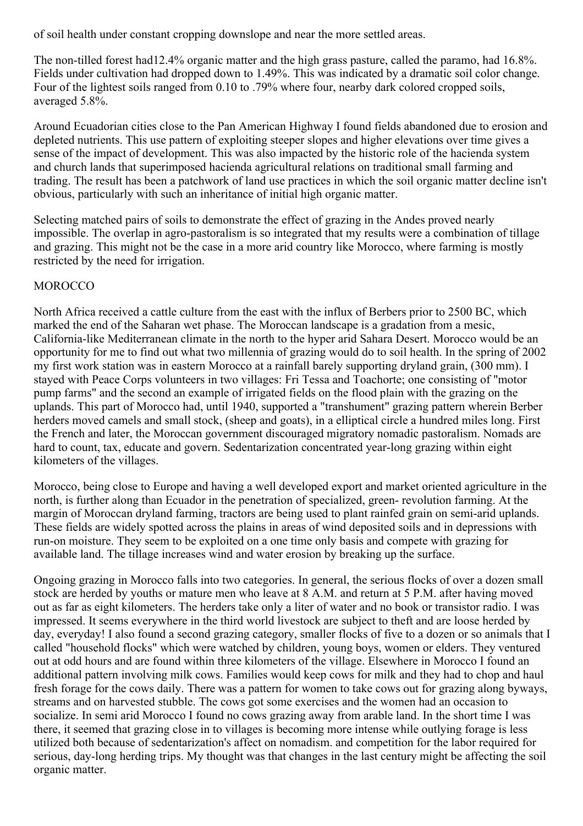of soil health under constant cropping downslope and near the more settled areas.

The non-tilled forest had12.4% organic matter and the high grass pasture, called the paramo, had 16.8%. Fields under cultivation had dropped down to 1.49%. This was indicated by a dramatic soil color change. Four of the lightest soils ranged from 0.10 to .79% where four, nearby dark colored cropped soils, averaged 5.8%.

Around Ecuadorian cities close to the Pan American Highway I found fields abandoned due to erosion and depleted nutrients. This use pattern of exploiting steeper slopes and higher elevations over time gives a sense of the impact of development. This was also impacted by the historic role of the hacienda system and church lands that superimposed hacienda agricultural relations on traditional small farming and trading. The result has been a patchwork of land use practices in which the soil organic matter decline isn't obvious, particularly with such an inheritance of initial high organic matter.

Selecting matched pairs of soils to demonstrate the effect of grazing in the Andes proved nearly impossible. The overlap in agro-pastoralism is so integrated that my results were a combination of tillage and grazing. This might not be the case in a more arid country like Morocco, where farming is mostly restricted by the need for irrigation.

### **MOROCCO**

North Africa received a cattle culture from the east with the influx of Berbers prior to 2500 BC, which marked the end of the Saharan wet phase. The Moroccan landscape is a gradation from a mesic, California-like Mediterranean climate in the north to the hyper arid Sahara Desert. Morocco would be an opportunity for me to find out what two millennia of grazing would do to soil health. In the spring of 2002 my first work station was in eastern Morocco at a rainfall barely supporting dryland grain, (300 mm). I stayed with Peace Corps volunteers in two villages: Fri Tessa and Toachorte; one consisting of "motor pump farms" and the second an example of irrigated fields on the flood plain with the grazing on the uplands. This part of Morocco had, until 1940, supported a "transhument" grazing pattern wherein Berber herders moved camels and small stock, (sheep and goats), in a elliptical circle a hundred miles long. First the French and later, the Moroccan government discouraged migratory nomadic pastoralism. Nomads are hard to count, tax, educate and govern. Sedentarization concentrated year-long grazing within eight kilometers of the villages.

Morocco, being close to Europe and having a well developed export and market oriented agriculture in the north, is further along than Ecuador in the penetration of specialized, green- revolution farming. At the margin of Moroccan dryland farming, tractors are being used to plant rainfed grain on semi-arid uplands. These fields are widely spotted across the plains in areas of wind deposited soils and in depressions with run-on moisture. They seem to be exploited on a one time only basis and compete with grazing for available land. The tillage increases wind and water erosion by breaking up the surface.

Ongoing grazing in Morocco falls into two categories. In general, the serious flocks of over a dozen small stock are herded by youths or mature men who leave at 8 A.M. and return at 5 P.M. after having moved out as far as eight kilometers. The herders take only a liter of water and no book or transistor radio. I was impressed. It seems everywhere in the third world livestock are subject to theft and are loose herded by day, everyday! I also found a second grazing category, smaller flocks of five to a dozen or so animals that I called "household flocks" which were watched by children, young boys, women or elders. They ventured out at odd hours and are found within three kilometers of the village. Elsewhere in Morocco I found an additional pattern involving milk cows. Families would keep cows for milk and they had to chop and haul fresh forage for the cows daily. There was a pattern for women to take cows out for grazing along byways, streams and on harvested stubble. The cows got some exercises and the women had an occasion to socialize. In semi arid Morocco I found no cows grazing away from arable land. In the short time I was there, it seemed that grazing close in to villages is becoming more intense while outlying forage is less utilized both because of sedentarization's affect on nomadism. and competition for the labor required for serious, day-long herding trips. My thought was that changes in the last century might be affecting the soil organic matter.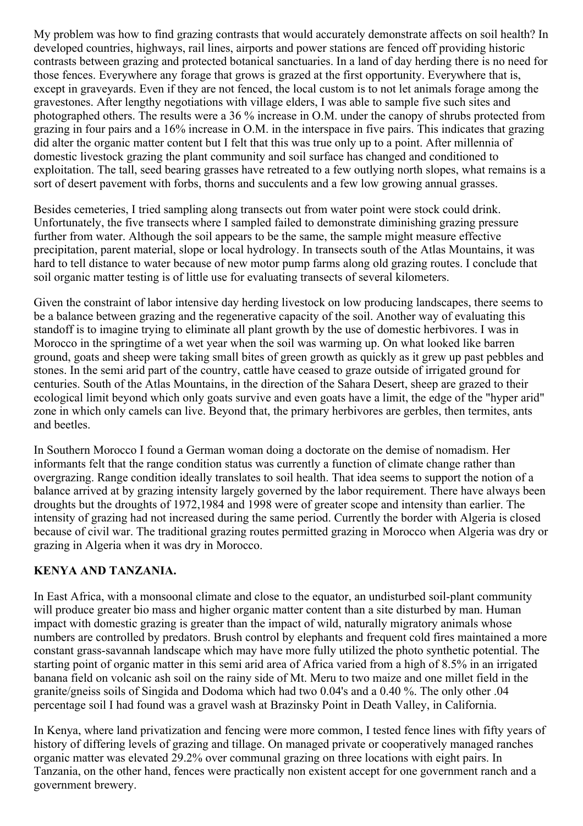My problem was how to find grazing contrasts that would accurately demonstrate affects on soil health? In developed countries, highways, rail lines, airports and power stations are fenced off providing historic contrasts between grazing and protected botanical sanctuaries. In a land of day herding there is no need for those fences. Everywhere any forage that grows is grazed at the first opportunity. Everywhere that is, except in graveyards. Even if they are not fenced, the local custom is to not let animals forage among the gravestones. After lengthy negotiations with village elders, I was able to sample five such sites and photographed others. The results were a 36 % increase in O.M. under the canopy of shrubs protected from grazing in four pairs and a 16% increase in O.M. in the interspace in five pairs. This indicates that grazing did alter the organic matter content but I felt that this was true only up to a point. After millennia of domestic livestock grazing the plant community and soil surface has changed and conditioned to exploitation. The tall, seed bearing grasses have retreated to a few outlying north slopes, what remains is a sort of desert pavement with forbs, thorns and succulents and a few low growing annual grasses.

Besides cemeteries, I tried sampling along transects out from water point were stock could drink. Unfortunately, the five transects where I sampled failed to demonstrate diminishing grazing pressure further from water. Although the soil appears to be the same, the sample might measure effective precipitation, parent material, slope or local hydrology. In transects south of the Atlas Mountains, it was hard to tell distance to water because of new motor pump farms along old grazing routes. I conclude that soil organic matter testing is of little use for evaluating transects of several kilometers.

Given the constraint of labor intensive day herding livestock on low producing landscapes, there seems to be a balance between grazing and the regenerative capacity of the soil. Another way of evaluating this standoff is to imagine trying to eliminate all plant growth by the use of domestic herbivores. I was in Morocco in the springtime of a wet year when the soil was warming up. On what looked like barren ground, goats and sheep were taking small bites of green growth as quickly as it grew up past pebbles and stones. In the semi arid part of the country, cattle have ceased to graze outside of irrigated ground for centuries. South of the Atlas Mountains, in the direction of the Sahara Desert, sheep are grazed to their ecological limit beyond which only goats survive and even goats have a limit, the edge of the "hyper arid" zone in which only camels can live. Beyond that, the primary herbivores are gerbles, then termites, ants and beetles.

In Southern Morocco I found a German woman doing a doctorate on the demise of nomadism. Her informants felt that the range condition status was currently a function of climate change rather than overgrazing. Range condition ideally translates to soil health. That idea seems to support the notion of a balance arrived at by grazing intensity largely governed by the labor requirement. There have always been droughts but the droughts of 1972,1984 and 1998 were of greater scope and intensity than earlier. The intensity of grazing had not increased during the same period. Currently the border with Algeria is closed because of civil war. The traditional grazing routes permitted grazing in Morocco when Algeria was dry or grazing in Algeria when it was dry in Morocco.

### **KENYA AND TANZANIA.**

In East Africa, with a monsoonal climate and close to the equator, an undisturbed soil-plant community will produce greater bio mass and higher organic matter content than a site disturbed by man. Human impact with domestic grazing is greater than the impact of wild, naturally migratory animals whose numbers are controlled by predators. Brush control by elephants and frequent cold fires maintained a more constant grass-savannah landscape which may have more fully utilized the photo synthetic potential. The starting point of organic matter in this semi arid area of Africa varied from a high of 8.5% in an irrigated banana field on volcanic ash soil on the rainy side of Mt. Meru to two maize and one millet field in the granite/gneiss soils of Singida and Dodoma which had two 0.04's and a 0.40 %. The only other .04 percentage soil I had found was a gravel wash at Brazinsky Point in Death Valley, in California.

In Kenya, where land privatization and fencing were more common, I tested fence lines with fifty years of history of differing levels of grazing and tillage. On managed private or cooperatively managed ranches organic matter was elevated 29.2% over communal grazing on three locations with eight pairs. In Tanzania, on the other hand, fences were practically non existent accept for one government ranch and a government brewery.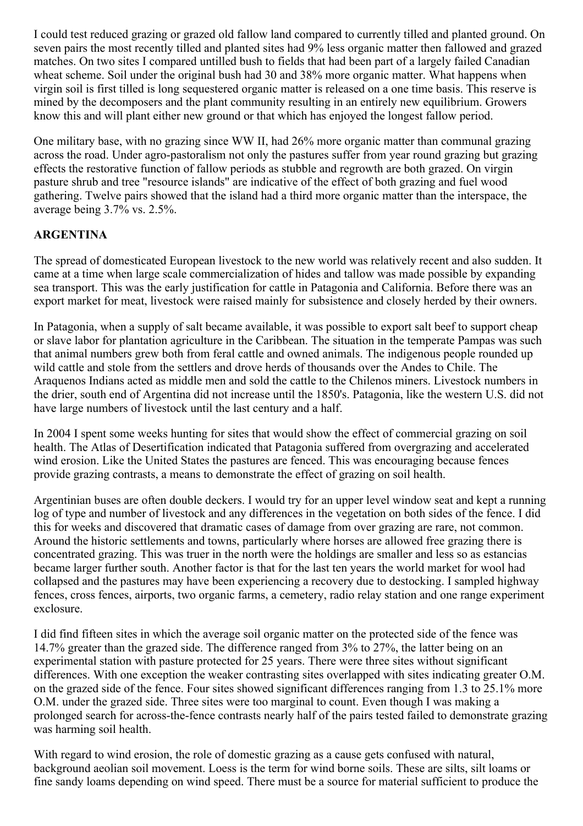I could test reduced grazing or grazed old fallow land compared to currently tilled and planted ground. On seven pairs the most recently tilled and planted sites had 9% less organic matter then fallowed and grazed matches. On two sites I compared untilled bush to fields that had been part of a largely failed Canadian wheat scheme. Soil under the original bush had 30 and 38% more organic matter. What happens when virgin soil is first tilled is long sequestered organic matter is released on a one time basis. This reserve is mined by the decomposers and the plant community resulting in an entirely new equilibrium. Growers know this and will plant either new ground or that which has enjoyed the longest fallow period.

One military base, with no grazing since WW II, had 26% more organic matter than communal grazing across the road. Under agro-pastoralism not only the pastures suffer from year round grazing but grazing effects the restorative function of fallow periods as stubble and regrowth are both grazed. On virgin pasture shrub and tree "resource islands" are indicative of the effect of both grazing and fuel wood gathering. Twelve pairs showed that the island had a third more organic matter than the interspace, the average being 3.7% vs. 2.5%.

### **ARGENTINA**

The spread of domesticated European livestock to the new world was relatively recent and also sudden. It came at a time when large scale commercialization of hides and tallow was made possible by expanding sea transport. This was the early justification for cattle in Patagonia and California. Before there was an export market for meat, livestock were raised mainly for subsistence and closely herded by their owners.

In Patagonia, when a supply of salt became available, it was possible to export salt beef to support cheap or slave labor for plantation agriculture in the Caribbean. The situation in the temperate Pampas was such that animal numbers grew both from feral cattle and owned animals. The indigenous people rounded up wild cattle and stole from the settlers and drove herds of thousands over the Andes to Chile. The Araquenos Indians acted as middle men and sold the cattle to the Chilenos miners. Livestock numbers in the drier, south end of Argentina did not increase until the 1850's. Patagonia, like the western U.S. did not have large numbers of livestock until the last century and a half.

In 2004 I spent some weeks hunting for sites that would show the effect of commercial grazing on soil health. The Atlas of Desertification indicated that Patagonia suffered from overgrazing and accelerated wind erosion. Like the United States the pastures are fenced. This was encouraging because fences provide grazing contrasts, a means to demonstrate the effect of grazing on soil health.

Argentinian buses are often double deckers. I would try for an upper level window seat and kept a running log of type and number of livestock and any differences in the vegetation on both sides of the fence. I did this for weeks and discovered that dramatic cases of damage from over grazing are rare, not common. Around the historic settlements and towns, particularly where horses are allowed free grazing there is concentrated grazing. This was truer in the north were the holdings are smaller and less so as estancias became larger further south. Another factor is that for the last ten years the world market for wool had collapsed and the pastures may have been experiencing a recovery due to destocking. I sampled highway fences, cross fences, airports, two organic farms, a cemetery, radio relay station and one range experiment exclosure.

I did find fifteen sites in which the average soil organic matter on the protected side of the fence was 14.7% greater than the grazed side. The difference ranged from 3% to 27%, the latter being on an experimental station with pasture protected for 25 years. There were three sites without significant differences. With one exception the weaker contrasting sites overlapped with sites indicating greater O.M. on the grazed side of the fence. Four sites showed significant differences ranging from 1.3 to 25.1% more O.M. under the grazed side. Three sites were too marginal to count. Even though I was making a prolonged search for across-the-fence contrasts nearly half of the pairs tested failed to demonstrate grazing was harming soil health.

With regard to wind erosion, the role of domestic grazing as a cause gets confused with natural, background aeolian soil movement. Loess is the term for wind borne soils. These are silts, silt loams or fine sandy loams depending on wind speed. There must be a source for material sufficient to produce the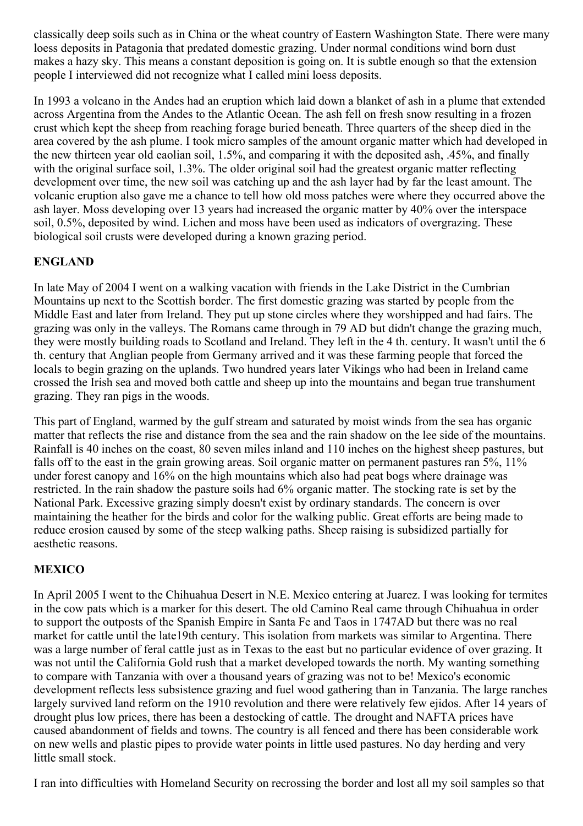classically deep soils such as in China or the wheat country of Eastern Washington State. There were many loess deposits in Patagonia that predated domestic grazing. Under normal conditions wind born dust makes a hazy sky. This means a constant deposition is going on. It is subtle enough so that the extension people I interviewed did not recognize what I called mini loess deposits.

In 1993 a volcano in the Andes had an eruption which laid down a blanket of ash in a plume that extended across Argentina from the Andes to the Atlantic Ocean. The ash fell on fresh snow resulting in a frozen crust which kept the sheep from reaching forage buried beneath. Three quarters of the sheep died in the area covered by the ash plume. I took micro samples of the amount organic matter which had developed in the new thirteen year old eaolian soil, 1.5%, and comparing it with the deposited ash, .45%, and finally with the original surface soil, 1.3%. The older original soil had the greatest organic matter reflecting development over time, the new soil was catching up and the ash layer had by far the least amount. The volcanic eruption also gave me a chance to tell how old moss patches were where they occurred above the ash layer. Moss developing over 13 years had increased the organic matter by 40% over the interspace soil, 0.5%, deposited by wind. Lichen and moss have been used as indicators of overgrazing. These biological soil crusts were developed during a known grazing period.

# **ENGLAND**

In late May of 2004 I went on a walking vacation with friends in the Lake District in the Cumbrian Mountains up next to the Scottish border. The first domestic grazing was started by people from the Middle East and later from Ireland. They put up stone circles where they worshipped and had fairs. The grazing was only in the valleys. The Romans came through in 79 AD but didn't change the grazing much, they were mostly building roads to Scotland and Ireland. They left in the 4 th. century. It wasn't until the 6 th. century that Anglian people from Germany arrived and it was these farming people that forced the locals to begin grazing on the uplands. Two hundred years later Vikings who had been in Ireland came crossed the Irish sea and moved both cattle and sheep up into the mountains and began true transhument grazing. They ran pigs in the woods.

This part of England, warmed by the gulf stream and saturated by moist winds from the sea has organic matter that reflects the rise and distance from the sea and the rain shadow on the lee side of the mountains. Rainfall is 40 inches on the coast, 80 seven miles inland and 110 inches on the highest sheep pastures, but falls off to the east in the grain growing areas. Soil organic matter on permanent pastures ran 5%, 11% under forest canopy and 16% on the high mountains which also had peat bogs where drainage was restricted. In the rain shadow the pasture soils had 6% organic matter. The stocking rate is set by the National Park. Excessive grazing simply doesn't exist by ordinary standards. The concern is over maintaining the heather for the birds and color for the walking public. Great efforts are being made to reduce erosion caused by some of the steep walking paths. Sheep raising is subsidized partially for aesthetic reasons.

### **MEXICO**

In April 2005 I went to the Chihuahua Desert in N.E. Mexico entering at Juarez. I was looking for termites in the cow pats which is a marker for this desert. The old Camino Real came through Chihuahua in order to support the outposts of the Spanish Empire in Santa Fe and Taos in 1747AD but there was no real market for cattle until the late19th century. This isolation from markets was similar to Argentina. There was a large number of feral cattle just as in Texas to the east but no particular evidence of over grazing. It was not until the California Gold rush that a market developed towards the north. My wanting something to compare with Tanzania with over a thousand years of grazing was not to be! Mexico's economic development reflects less subsistence grazing and fuel wood gathering than in Tanzania. The large ranches largely survived land reform on the 1910 revolution and there were relatively few ejidos. After 14 years of drought plus low prices, there has been a destocking of cattle. The drought and NAFTA prices have caused abandonment of fields and towns. The country is all fenced and there has been considerable work on new wells and plastic pipes to provide water points in little used pastures. No day herding and very little small stock.

I ran into difficulties with Homeland Security on recrossing the border and lost all my soil samples so that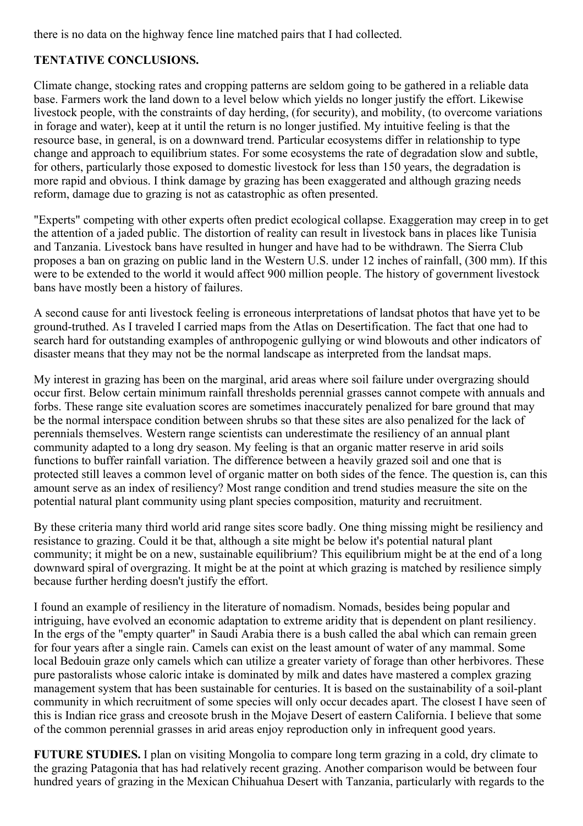there is no data on the highway fence line matched pairs that I had collected.

## **TENTATIVE CONCLUSIONS.**

Climate change, stocking rates and cropping patterns are seldom going to be gathered in a reliable data base. Farmers work the land down to a level below which yields no longer justify the effort. Likewise livestock people, with the constraints of day herding, (for security), and mobility, (to overcome variations in forage and water), keep at it until the return is no longer justified. My intuitive feeling is that the resource base, in general, is on a downward trend. Particular ecosystems differ in relationship to type change and approach to equilibrium states. For some ecosystems the rate of degradation slow and subtle, for others, particularly those exposed to domestic livestock for less than 150 years, the degradation is more rapid and obvious. I think damage by grazing has been exaggerated and although grazing needs reform, damage due to grazing is not as catastrophic as often presented.

"Experts" competing with other experts often predict ecological collapse. Exaggeration may creep in to get the attention of a jaded public. The distortion of reality can result in livestock bans in places like Tunisia and Tanzania. Livestock bans have resulted in hunger and have had to be withdrawn. The Sierra Club proposes a ban on grazing on public land in the Western U.S. under 12 inches of rainfall, (300 mm). If this were to be extended to the world it would affect 900 million people. The history of government livestock bans have mostly been a history of failures.

A second cause for anti livestock feeling is erroneous interpretations of landsat photos that have yet to be ground-truthed. As I traveled I carried maps from the Atlas on Desertification. The fact that one had to search hard for outstanding examples of anthropogenic gullying or wind blowouts and other indicators of disaster means that they may not be the normal landscape as interpreted from the landsat maps.

My interest in grazing has been on the marginal, arid areas where soil failure under overgrazing should occur first. Below certain minimum rainfall thresholds perennial grasses cannot compete with annuals and forbs. These range site evaluation scores are sometimes inaccurately penalized for bare ground that may be the normal interspace condition between shrubs so that these sites are also penalized for the lack of perennials themselves. Western range scientists can underestimate the resiliency of an annual plant community adapted to a long dry season. My feeling is that an organic matter reserve in arid soils functions to buffer rainfall variation. The difference between a heavily grazed soil and one that is protected still leaves a common level of organic matter on both sides of the fence. The question is, can this amount serve as an index of resiliency? Most range condition and trend studies measure the site on the potential natural plant community using plant species composition, maturity and recruitment.

By these criteria many third world arid range sites score badly. One thing missing might be resiliency and resistance to grazing. Could it be that, although a site might be below it's potential natural plant community; it might be on a new, sustainable equilibrium? This equilibrium might be at the end of a long downward spiral of overgrazing. It might be at the point at which grazing is matched by resilience simply because further herding doesn't justify the effort.

I found an example of resiliency in the literature of nomadism. Nomads, besides being popular and intriguing, have evolved an economic adaptation to extreme aridity that is dependent on plant resiliency. In the ergs of the "empty quarter" in Saudi Arabia there is a bush called the abal which can remain green for four years after a single rain. Camels can exist on the least amount of water of any mammal. Some local Bedouin graze only camels which can utilize a greater variety of forage than other herbivores. These pure pastoralists whose caloric intake is dominated by milk and dates have mastered a complex grazing management system that has been sustainable for centuries. It is based on the sustainability of a soil-plant community in which recruitment of some species will only occur decades apart. The closest I have seen of this is Indian rice grass and creosote brush in the Mojave Desert of eastern California. I believe that some of the common perennial grasses in arid areas enjoy reproduction only in infrequent good years.

**FUTURE STUDIES.** I plan on visiting Mongolia to compare long term grazing in a cold, dry climate to the grazing Patagonia that has had relatively recent grazing. Another comparison would be between four hundred years of grazing in the Mexican Chihuahua Desert with Tanzania, particularly with regards to the